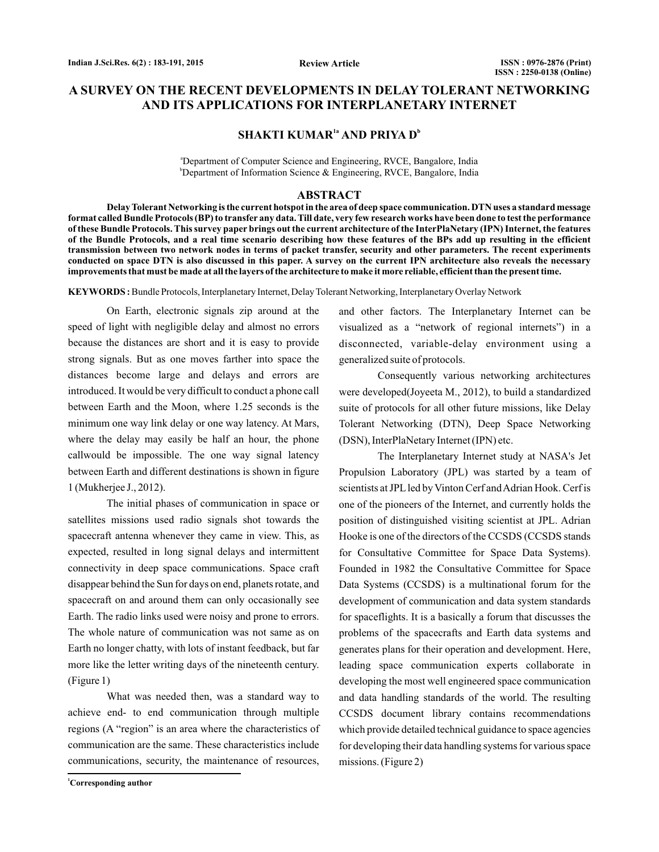# **A SURVEY ON THE RECENT DEVELOPMENTS IN DELAY TOLERANT NETWORKING AND ITS APPLICATIONS FOR INTERPLANETARY INTERNET**

## **SHAKTI KUMAR<sup>1a</sup> AND PRIYA D<sup>b</sup>**

a Department of Computer Science and Engineering, RVCE, Bangalore, India b Department of Information Science & Engineering, RVCE, Bangalore, India

#### **ABSTRACT**

**Delay Tolerant Networking is the current hotspot in the area of deep space communication. DTN uses a standard message format called Bundle Protocols (BP) to transfer any data. Till date, very few research works have been done to test the performance of these Bundle Protocols. This survey paper brings out the current architecture of the InterPlaNetary (IPN) Internet, the features of the Bundle Protocols, and a real time scenario describing how these features of the BPs add up resulting in the efficient transmission between two network nodes in terms of packet transfer, security and other parameters. The recent experiments conducted on space DTN is also discussed in this paper. A survey on the current IPN architecture also reveals the necessary improvements that must be made at all the layers of the architecture to make it more reliable, efficient than the present time.**

**KEYWORDS :** Bundle Protocols, Interplanetary Internet, Delay Tolerant Networking, Interplanetary Overlay Network

On Earth, electronic signals zip around at the speed of light with negligible delay and almost no errors because the distances are short and it is easy to provide strong signals. But as one moves farther into space the distances become large and delays and errors are introduced. It would be very difficult to conduct a phone call between Earth and the Moon, where 1.25 seconds is the minimum one way link delay or one way latency. At Mars, where the delay may easily be half an hour, the phone callwould be impossible. The one way signal latency between Earth and different destinations is shown in figure 1 (Mukherjee J., 2012).

The initial phases of communication in space or satellites missions used radio signals shot towards the spacecraft antenna whenever they came in view. This, as expected, resulted in long signal delays and intermittent connectivity in deep space communications. Space craft disappear behind the Sun for days on end, planets rotate, and spacecraft on and around them can only occasionally see Earth. The radio links used were noisy and prone to errors. The whole nature of communication was not same as on Earth no longer chatty, with lots of instant feedback, but far more like the letter writing days of the nineteenth century. (Figure 1)

What was needed then, was a standard way to achieve end- to end communication through multiple regions (A "region" is an area where the characteristics of communication are the same. These characteristics include communications, security, the maintenance of resources,

and other factors. The Interplanetary Internet can be visualized as a "network of regional internets") in a disconnected, variable-delay environment using a generalized suite of protocols.

Consequently various networking architectures were developed(Joyeeta M., 2012), to build a standardized suite of protocols for all other future missions, like Delay Tolerant Networking (DTN), Deep Space Networking (DSN), InterPlaNetary Internet (IPN) etc.

The Interplanetary Internet study at NASA's Jet Propulsion Laboratory (JPL) was started by a team of scientists at JPL led by Vinton Cerf and Adrian Hook. Cerf is one of the pioneers of the Internet, and currently holds the position of distinguished visiting scientist at JPL. Adrian Hooke is one of the directors of the CCSDS (CCSDS stands for Consultative Committee for Space Data Systems). Founded in 1982 the Consultative Committee for Space Data Systems (CCSDS) is a multinational forum for the development of communication and data system standards for spaceflights. It is a basically a forum that discusses the problems of the spacecrafts and Earth data systems and generates plans for their operation and development. Here, leading space communication experts collaborate in developing the most well engineered space communication and data handling standards of the world. The resulting CCSDS document library contains recommendations which provide detailed technical guidance to space agencies for developing their data handling systems for various space missions. (Figure 2)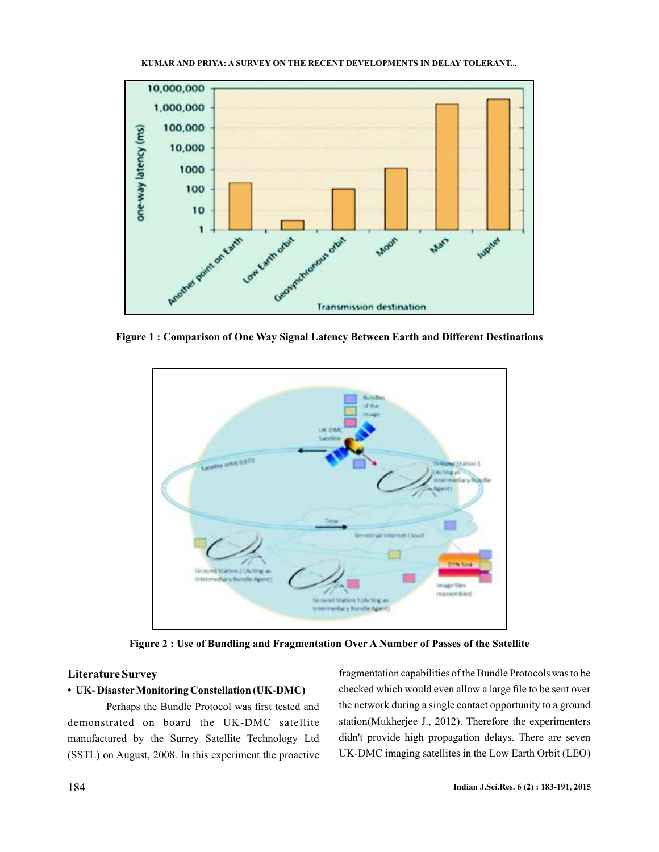

**Figure 1 : Comparison of One Way Signal Latency Between Earth and Different Destinations**



**Figure 2 : Use of Bundling and Fragmentation Over A Number of Passes of the Satellite**

# **Literature Survey**

#### **• UK- Disaster Monitoring Constellation (UK-DMC)**

Perhaps the Bundle Protocol was first tested and demonstrated on board the UK-DMC satellite manufactured by the Surrey Satellite Technology Ltd (SSTL) on August, 2008. In this experiment the proactive

fragmentation capabilities of the Bundle Protocols was to be checked which would even allow a large file to be sent over the network during a single contact opportunity to a ground station(Mukherjee J., 2012). Therefore the experimenters didn't provide high propagation delays. There are seven UK-DMC imaging satellites in the Low Earth Orbit (LEO)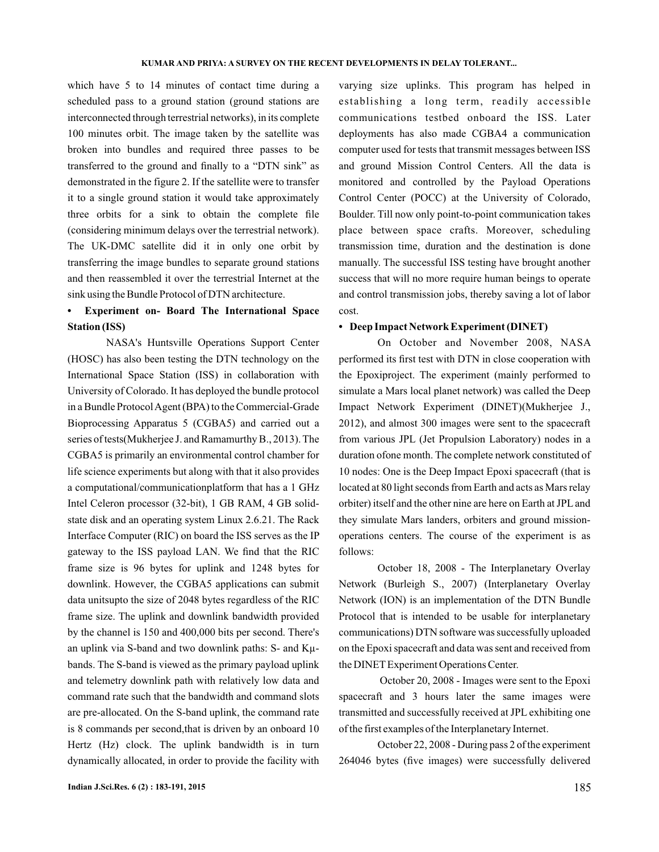which have 5 to 14 minutes of contact time during a scheduled pass to a ground station (ground stations are interconnected through terrestrial networks), in its complete 100 minutes orbit. The image taken by the satellite was broken into bundles and required three passes to be transferred to the ground and finally to a "DTN sink" as demonstrated in the figure 2. If the satellite were to transfer it to a single ground station it would take approximately three orbits for a sink to obtain the complete file (considering minimum delays over the terrestrial network). The UK-DMC satellite did it in only one orbit by transferring the image bundles to separate ground stations and then reassembled it over the terrestrial Internet at the sink using the Bundle Protocol of DTN architecture.

# **• Experiment on- Board The International Space Station (ISS)**

NASA's Huntsville Operations Support Center (HOSC) has also been testing the DTN technology on the International Space Station (ISS) in collaboration with University of Colorado. It has deployed the bundle protocol in a Bundle Protocol Agent (BPA) to the Commercial-Grade Bioprocessing Apparatus 5 (CGBA5) and carried out a series of tests(Mukherjee J. and Ramamurthy B., 2013). The CGBA5 is primarily an environmental control chamber for life science experiments but along with that it also provides a computational/communicationplatform that has a 1 GHz Intel Celeron processor (32-bit), 1 GB RAM, 4 GB solidstate disk and an operating system Linux 2.6.21. The Rack Interface Computer (RIC) on board the ISS serves as the IP gateway to the ISS payload LAN. We find that the RIC frame size is 96 bytes for uplink and 1248 bytes for downlink. However, the CGBA5 applications can submit data unitsupto the size of 2048 bytes regardless of the RIC frame size. The uplink and downlink bandwidth provided by the channel is 150 and 400,000 bits per second. There's an uplink via S-band and two downlink paths: S- and Kµbands. The S-band is viewed as the primary payload uplink and telemetry downlink path with relatively low data and command rate such that the bandwidth and command slots are pre-allocated. On the S-band uplink, the command rate is 8 commands per second,that is driven by an onboard 10 Hertz (Hz) clock. The uplink bandwidth is in turn dynamically allocated, in order to provide the facility with varying size uplinks. This program has helped in establishing a long term, readily accessible communications testbed onboard the ISS. Later deployments has also made CGBA4 a communication computer used for tests that transmit messages between ISS and ground Mission Control Centers. All the data is monitored and controlled by the Payload Operations Control Center (POCC) at the University of Colorado, Boulder. Till now only point-to-point communication takes place between space crafts. Moreover, scheduling transmission time, duration and the destination is done manually. The successful ISS testing have brought another success that will no more require human beings to operate and control transmission jobs, thereby saving a lot of labor cost.

### **• Deep Impact Network Experiment (DINET)**

On October and November 2008, NASA performed its first test with DTN in close cooperation with the Epoxiproject. The experiment (mainly performed to simulate a Mars local planet network) was called the Deep Impact Network Experiment (DINET)(Mukherjee J., 2012), and almost 300 images were sent to the spacecraft from various JPL (Jet Propulsion Laboratory) nodes in a duration ofone month. The complete network constituted of 10 nodes: One is the Deep Impact Epoxi spacecraft (that is located at 80 light seconds from Earth and acts as Mars relay orbiter) itself and the other nine are here on Earth at JPL and they simulate Mars landers, orbiters and ground missionoperations centers. The course of the experiment is as follows:

October 18, 2008 - The Interplanetary Overlay Network (Burleigh S., 2007) (Interplanetary Overlay Network (ION) is an implementation of the DTN Bundle Protocol that is intended to be usable for interplanetary communications) DTN software was successfully uploaded on the Epoxi spacecraft and data was sent and received from the DINET Experiment Operations Center.

October 20, 2008 - Images were sent to the Epoxi spacecraft and 3 hours later the same images were transmitted and successfully received at JPL exhibiting one of the first examples of the Interplanetary Internet.

October 22, 2008 - During pass 2 of the experiment 264046 bytes (five images) were successfully delivered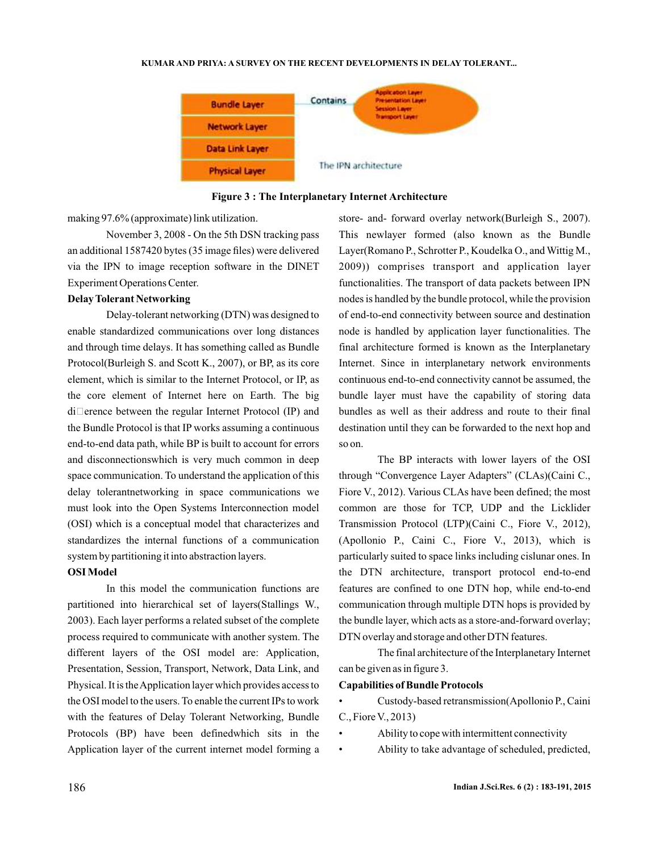

**Figure 3 : The Interplanetary Internet Architecture**

making 97.6% (approximate) link utilization.

November 3, 2008 - On the 5th DSN tracking pass an additional 1587420 bytes (35 image files) were delivered via the IPN to image reception software in the DINET Experiment Operations Center.

## **Delay Tolerant Networking**

Delay-tolerant networking (DTN) was designed to enable standardized communications over long distances and through time delays. It has something called as Bundle Protocol(Burleigh S. and Scott K., 2007), or BP, as its core element, which is similar to the Internet Protocol, or IP, as the core element of Internet here on Earth. The big  $di$  erence between the regular Internet Protocol (IP) and the Bundle Protocol is that IP works assuming a continuous end-to-end data path, while BP is built to account for errors and disconnectionswhich is very much common in deep space communication. To understand the application of this delay tolerantnetworking in space communications we must look into the Open Systems Interconnection model (OSI) which is a conceptual model that characterizes and standardizes the internal functions of a communication system by partitioning it into abstraction layers.

#### **OSI Model**

In this model the communication functions are partitioned into hierarchical set of layers(Stallings W., 2003). Each layer performs a related subset of the complete process required to communicate with another system. The different layers of the OSI model are: Application, Presentation, Session, Transport, Network, Data Link, and Physical. It is theApplication layer which provides access to the OSI model to the users. To enable the current IPs to work with the features of Delay Tolerant Networking, Bundle Protocols (BP) have been definedwhich sits in the Application layer of the current internet model forming a

store- and- forward overlay network(Burleigh S., 2007). This newlayer formed (also known as the Bundle Layer(Romano P., Schrotter P., Koudelka O., and Wittig M., 2009)) comprises transport and application layer functionalities. The transport of data packets between IPN nodes is handled by the bundle protocol, while the provision of end-to-end connectivity between source and destination node is handled by application layer functionalities. The final architecture formed is known as the Interplanetary Internet. Since in interplanetary network environments continuous end-to-end connectivity cannot be assumed, the bundle layer must have the capability of storing data bundles as well as their address and route to their final destination until they can be forwarded to the next hop and so on.

The BP interacts with lower layers of the OSI through "Convergence Layer Adapters" (CLAs)(Caini C., Fiore V., 2012). Various CLAs have been defined; the most common are those for TCP, UDP and the Licklider Transmission Protocol (LTP)(Caini C., Fiore V., 2012), (Apollonio P., Caini C., Fiore V., 2013), which is particularly suited to space links including cislunar ones. In the DTN architecture, transport protocol end-to-end features are confined to one DTN hop, while end-to-end communication through multiple DTN hops is provided by the bundle layer, which acts as a store-and-forward overlay; DTN overlay and storage and other DTN features.

The final architecture of the Interplanetary Internet can be given as in figure 3.

### **Capabilities of Bundle Protocols**

• Custody-based retransmission(Apollonio P., Caini C., Fiore V., 2013)

- Ability to cope with intermittent connectivity
- Ability to take advantage of scheduled, predicted,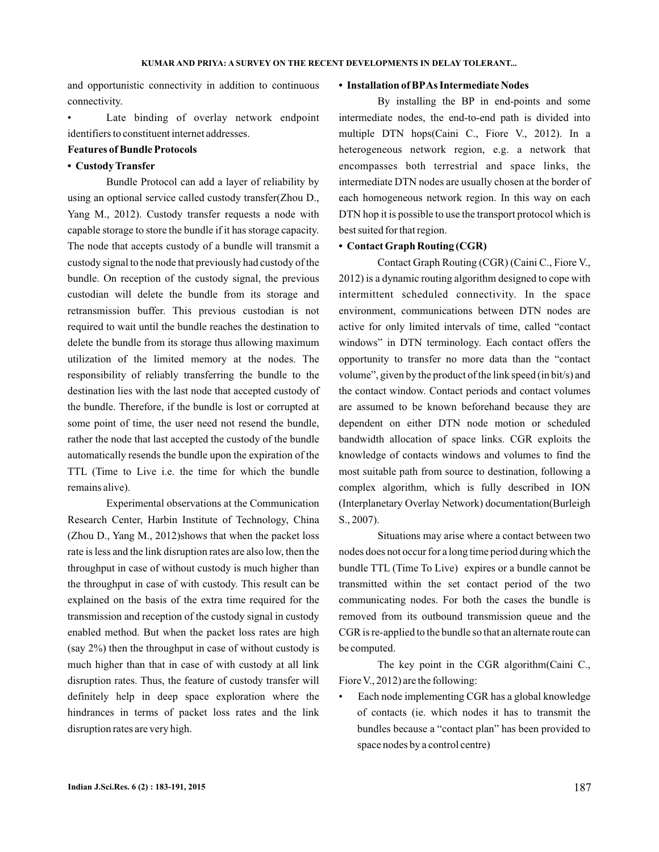and opportunistic connectivity in addition to continuous connectivity.

Late binding of overlay network endpoint identifiers to constituent internet addresses.

## **Features of Bundle Protocols**

## **• Custody Transfer**

Bundle Protocol can add a layer of reliability by using an optional service called custody transfer(Zhou D., Yang M., 2012). Custody transfer requests a node with capable storage to store the bundle if it has storage capacity. The node that accepts custody of a bundle will transmit a custody signal to the node that previously had custody of the bundle. On reception of the custody signal, the previous custodian will delete the bundle from its storage and retransmission buffer. This previous custodian is not required to wait until the bundle reaches the destination to delete the bundle from its storage thus allowing maximum utilization of the limited memory at the nodes. The responsibility of reliably transferring the bundle to the destination lies with the last node that accepted custody of the bundle. Therefore, if the bundle is lost or corrupted at some point of time, the user need not resend the bundle, rather the node that last accepted the custody of the bundle automatically resends the bundle upon the expiration of the TTL (Time to Live i.e. the time for which the bundle remains alive).

Experimental observations at the Communication Research Center, Harbin Institute of Technology, China (Zhou D., Yang M., 2012)shows that when the packet loss rate is less and the link disruption rates are also low, then the throughput in case of without custody is much higher than the throughput in case of with custody. This result can be explained on the basis of the extra time required for the transmission and reception of the custody signal in custody enabled method. But when the packet loss rates are high (say 2%) then the throughput in case of without custody is much higher than that in case of with custody at all link disruption rates. Thus, the feature of custody transfer will definitely help in deep space exploration where the hindrances in terms of packet loss rates and the link disruption rates are very high.

### **• Installation of BPAs Intermediate Nodes**

By installing the BP in end-points and some intermediate nodes, the end-to-end path is divided into multiple DTN hops(Caini C., Fiore V., 2012). In a heterogeneous network region, e.g. a network that encompasses both terrestrial and space links, the intermediate DTN nodes are usually chosen at the border of each homogeneous network region. In this way on each DTN hop it is possible to use the transport protocol which is best suited for that region.

#### **• Contact Graph Routing (CGR)**

Contact Graph Routing (CGR) (Caini C., Fiore V., 2012) is a dynamic routing algorithm designed to cope with intermittent scheduled connectivity. In the space environment, communications between DTN nodes are active for only limited intervals of time, called "contact windows" in DTN terminology. Each contact offers the opportunity to transfer no more data than the "contact volume", given by the product of the link speed (in bit/s) and the contact window. Contact periods and contact volumes are assumed to be known beforehand because they are dependent on either DTN node motion or scheduled bandwidth allocation of space links. CGR exploits the knowledge of contacts windows and volumes to find the most suitable path from source to destination, following a complex algorithm, which is fully described in ION (Interplanetary Overlay Network) documentation(Burleigh S., 2007).

Situations may arise where a contact between two nodes does not occur for a long time period during which the bundle TTL (Time To Live) expires or a bundle cannot be transmitted within the set contact period of the two communicating nodes. For both the cases the bundle is removed from its outbound transmission queue and the CGR is re-applied to the bundle so that an alternate route can be computed.

The key point in the CGR algorithm(Caini C., Fiore V., 2012) are the following:

• Each node implementing CGR has a global knowledge of contacts (ie. which nodes it has to transmit the bundles because a "contact plan" has been provided to space nodes by a control centre)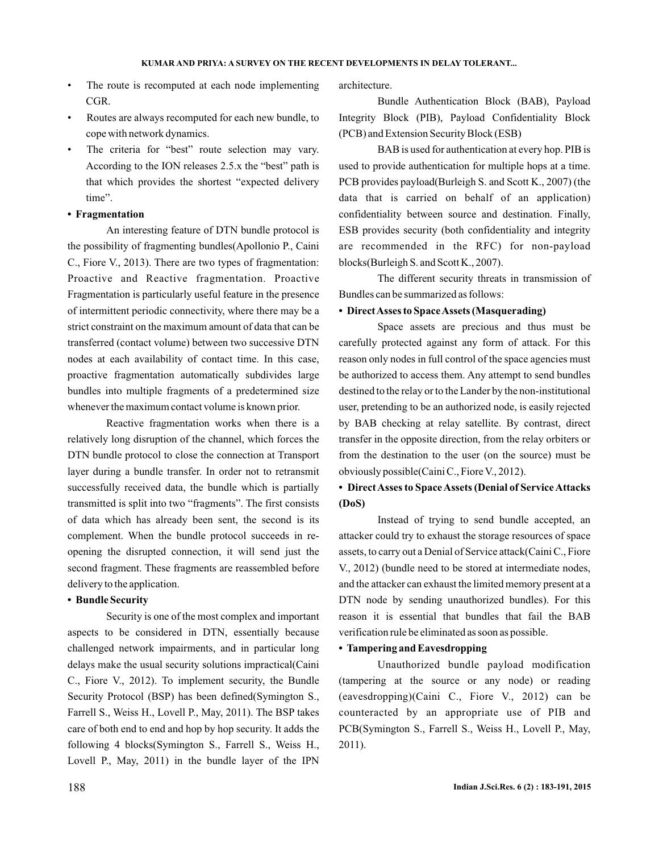- The route is recomputed at each node implementing CGR.
- Routes are always recomputed for each new bundle, to cope with network dynamics.
- The criteria for "best" route selection may vary. According to the ION releases 2.5.x the "best" path is that which provides the shortest "expected delivery time".

# **• Fragmentation**

An interesting feature of DTN bundle protocol is the possibility of fragmenting bundles(Apollonio P., Caini C., Fiore V., 2013). There are two types of fragmentation: Proactive and Reactive fragmentation. Proactive Fragmentation is particularly useful feature in the presence of intermittent periodic connectivity, where there may be a strict constraint on the maximum amount of data that can be transferred (contact volume) between two successive DTN nodes at each availability of contact time. In this case, proactive fragmentation automatically subdivides large bundles into multiple fragments of a predetermined size whenever the maximum contact volume is known prior.

Reactive fragmentation works when there is a relatively long disruption of the channel, which forces the DTN bundle protocol to close the connection at Transport layer during a bundle transfer. In order not to retransmit successfully received data, the bundle which is partially transmitted is split into two "fragments". The first consists of data which has already been sent, the second is its complement. When the bundle protocol succeeds in reopening the disrupted connection, it will send just the second fragment. These fragments are reassembled before delivery to the application.

## **• Bundle Security**

Security is one of the most complex and important aspects to be considered in DTN, essentially because challenged network impairments, and in particular long delays make the usual security solutions impractical(Caini C., Fiore V., 2012). To implement security, the Bundle Security Protocol (BSP) has been defined(Symington S., Farrell S., Weiss H., Lovell P., May, 2011). The BSP takes care of both end to end and hop by hop security. It adds the following 4 blocks(Symington S., Farrell S., Weiss H., Lovell P., May, 2011) in the bundle layer of the IPN

architecture.

Bundle Authentication Block (BAB), Payload Integrity Block (PIB), Payload Confidentiality Block (PCB) and Extension Security Block (ESB)

BAB is used for authentication at every hop. PIB is used to provide authentication for multiple hops at a time. PCB provides payload(Burleigh S. and Scott K., 2007) (the data that is carried on behalf of an application) confidentiality between source and destination. Finally, ESB provides security (both confidentiality and integrity are recommended in the RFC) for non-payload blocks(Burleigh S. and Scott K., 2007).

The different security threats in transmission of Bundles can be summarized as follows:

## **• DirectAsses to SpaceAssets (Masquerading)**

Space assets are precious and thus must be carefully protected against any form of attack. For this reason only nodes in full control of the space agencies must be authorized to access them. Any attempt to send bundles destined to the relay or to the Lander by the non-institutional user, pretending to be an authorized node, is easily rejected by BAB checking at relay satellite. By contrast, direct transfer in the opposite direction, from the relay orbiters or from the destination to the user (on the source) must be obviously possible(Caini C., Fiore V., 2012).

# **• DirectAsses to SpaceAssets (Denial of ServiceAttacks (DoS)**

Instead of trying to send bundle accepted, an attacker could try to exhaust the storage resources of space assets, to carry out a Denial of Service attack(Caini C., Fiore V., 2012) (bundle need to be stored at intermediate nodes, and the attacker can exhaust the limited memory present at a DTN node by sending unauthorized bundles). For this reason it is essential that bundles that fail the BAB verification rule be eliminated as soon as possible.

## **• Tampering and Eavesdropping**

Unauthorized bundle payload modification (tampering at the source or any node) or reading (eavesdropping)(Caini C., Fiore V., 2012) can be counteracted by an appropriate use of PIB and PCB(Symington S., Farrell S., Weiss H., Lovell P., May, 2011).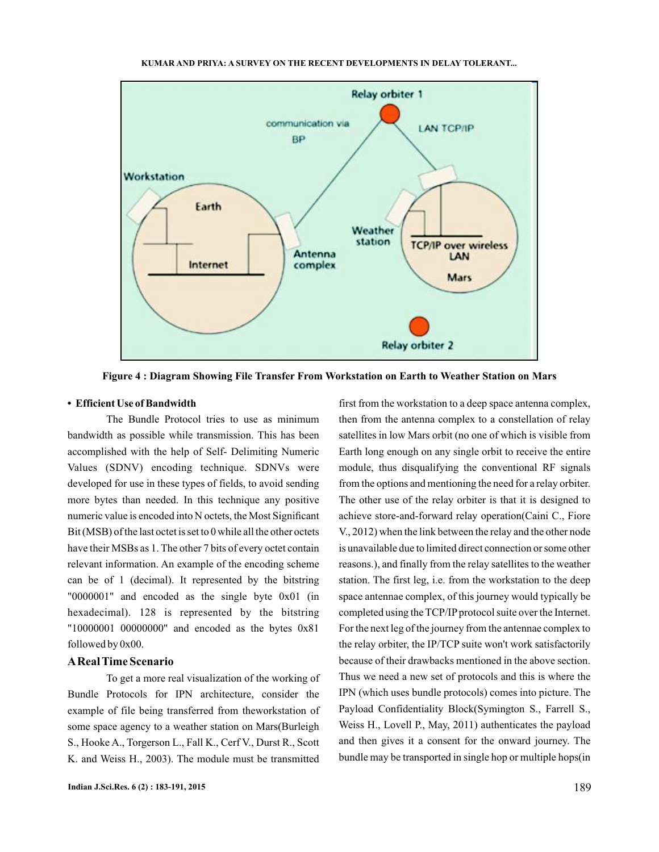

**Figure 4 : Diagram Showing File Transfer From Workstation on Earth to Weather Station on Mars**

### **• Efficient Use of Bandwidth**

The Bundle Protocol tries to use as minimum bandwidth as possible while transmission. This has been accomplished with the help of Self- Delimiting Numeric Values (SDNV) encoding technique. SDNVs were developed for use in these types of fields, to avoid sending more bytes than needed. In this technique any positive numeric value is encoded into N octets, the Most Significant Bit (MSB) of the last octet is set to 0 while all the other octets have their MSBs as 1. The other 7 bits of every octet contain relevant information. An example of the encoding scheme can be of 1 (decimal). It represented by the bitstring "0000001" and encoded as the single byte 0x01 (in hexadecimal). 128 is represented by the bitstring "10000001 00000000" and encoded as the bytes 0x81 followed by 0x00.

## **AReal Time Scenario**

To get a more real visualization of the working of Bundle Protocols for IPN architecture, consider the example of file being transferred from theworkstation of some space agency to a weather station on Mars(Burleigh S., Hooke A., Torgerson L., Fall K., Cerf V., Durst R., Scott K. and Weiss H., 2003). The module must be transmitted

first from the workstation to a deep space antenna complex, then from the antenna complex to a constellation of relay satellites in low Mars orbit (no one of which is visible from Earth long enough on any single orbit to receive the entire module, thus disqualifying the conventional RF signals from the options and mentioning the need for a relay orbiter. The other use of the relay orbiter is that it is designed to achieve store-and-forward relay operation(Caini C., Fiore V., 2012) when the link between the relay and the other node is unavailable due to limited direct connection or some other reasons.), and finally from the relay satellites to the weather station. The first leg, i.e. from the workstation to the deep space antennae complex, of this journey would typically be completed using the TCP/IP protocol suite over the Internet. For the next leg of the journey from the antennae complex to the relay orbiter, the IP/TCP suite won't work satisfactorily because of their drawbacks mentioned in the above section. Thus we need a new set of protocols and this is where the IPN (which uses bundle protocols) comes into picture. The Payload Confidentiality Block(Symington S., Farrell S., Weiss H., Lovell P., May, 2011) authenticates the payload and then gives it a consent for the onward journey. The bundle may be transported in single hop or multiple hops(in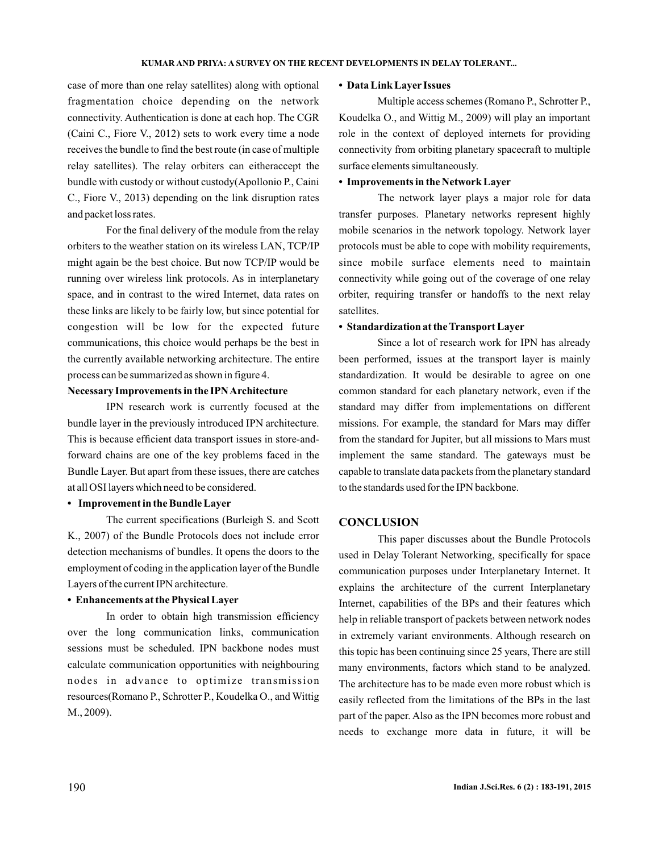case of more than one relay satellites) along with optional fragmentation choice depending on the network connectivity. Authentication is done at each hop. The CGR (Caini C., Fiore V., 2012) sets to work every time a node receives the bundle to find the best route (in case of multiple relay satellites). The relay orbiters can eitheraccept the bundle with custody or without custody(Apollonio P., Caini C., Fiore V., 2013) depending on the link disruption rates and packet loss rates.

For the final delivery of the module from the relay orbiters to the weather station on its wireless LAN, TCP/IP might again be the best choice. But now TCP/IP would be running over wireless link protocols. As in interplanetary space, and in contrast to the wired Internet, data rates on these links are likely to be fairly low, but since potential for congestion will be low for the expected future communications, this choice would perhaps be the best in the currently available networking architecture. The entire process can be summarized as shown in figure 4.

## **Necessary Improvements in the IPNArchitecture**

IPN research work is currently focused at the bundle layer in the previously introduced IPN architecture. This is because efficient data transport issues in store-andforward chains are one of the key problems faced in the Bundle Layer. But apart from these issues, there are catches at all OSI layers which need to be considered.

## **• Improvement in the Bundle Layer**

The current specifications (Burleigh S. and Scott K., 2007) of the Bundle Protocols does not include error detection mechanisms of bundles. It opens the doors to the employment of coding in the application layer of the Bundle Layers of the current IPN architecture.

### **• Enhancements at the Physical Layer**

In order to obtain high transmission efficiency over the long communication links, communication sessions must be scheduled. IPN backbone nodes must calculate communication opportunities with neighbouring nodes in advance to optimize transmission resources(Romano P., Schrotter P., Koudelka O., and Wittig M., 2009).

### **• Data Link Layer Issues**

Multiple access schemes (Romano P., Schrotter P., Koudelka O., and Wittig M., 2009) will play an important role in the context of deployed internets for providing connectivity from orbiting planetary spacecraft to multiple surface elements simultaneously.

## **• Improvements in the Network Layer**

The network layer plays a major role for data transfer purposes. Planetary networks represent highly mobile scenarios in the network topology. Network layer protocols must be able to cope with mobility requirements, since mobile surface elements need to maintain connectivity while going out of the coverage of one relay orbiter, requiring transfer or handoffs to the next relay satellites.

### **• Standardization at the Transport Layer**

Since a lot of research work for IPN has already been performed, issues at the transport layer is mainly standardization. It would be desirable to agree on one common standard for each planetary network, even if the standard may differ from implementations on different missions. For example, the standard for Mars may differ from the standard for Jupiter, but all missions to Mars must implement the same standard. The gateways must be capable to translate data packets from the planetary standard to the standards used for the IPN backbone.

## **CONCLUSION**

This paper discusses about the Bundle Protocols used in Delay Tolerant Networking, specifically for space communication purposes under Interplanetary Internet. It explains the architecture of the current Interplanetary Internet, capabilities of the BPs and their features which help in reliable transport of packets between network nodes in extremely variant environments. Although research on this topic has been continuing since 25 years, There are still many environments, factors which stand to be analyzed. The architecture has to be made even more robust which is easily reflected from the limitations of the BPs in the last part of the paper. Also as the IPN becomes more robust and needs to exchange more data in future, it will be